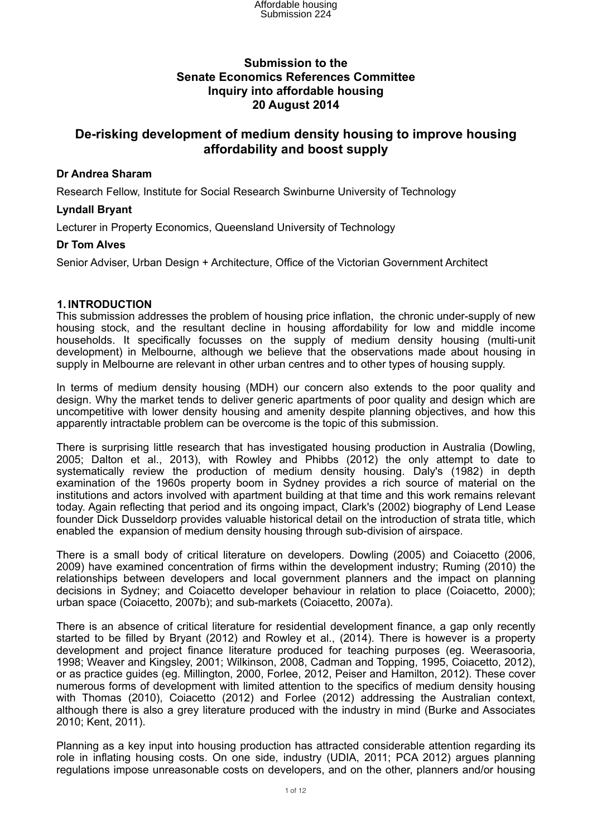

### **Submission to the Senate Economics References Committee Inquiry into affordable housing 20 August 2014**

## **De-risking development of medium density housing to improve housing affordability and boost supply**

#### **Dr Andrea Sharam**

Research Fellow, Institute for Social Research Swinburne University of Technology

#### **Lyndall Bryant**

Lecturer in Property Economics, Queensland University of Technology

#### **Dr Tom Alves**

Senior Adviser, Urban Design + Architecture, Office of the Victorian Government Architect

#### **1. INTRODUCTION**

This submission addresses the problem of housing price inflation, the chronic under-supply of new housing stock, and the resultant decline in housing affordability for low and middle income households. It specifically focusses on the supply of medium density housing (multi-unit development) in Melbourne, although we believe that the observations made about housing in supply in Melbourne are relevant in other urban centres and to other types of housing supply.

In terms of medium density housing (MDH) our concern also extends to the poor quality and design. Why the market tends to deliver generic apartments of poor quality and design which are uncompetitive with lower density housing and amenity despite planning objectives, and how this apparently intractable problem can be overcome is the topic of this submission.

There is surprising little research that has investigated housing production in Australia (Dowling, 2005; Dalton et al., 2013), with Rowley and Phibbs (2012) the only attempt to date to systematically review the production of medium density housing. Daly's (1982) in depth examination of the 1960s property boom in Sydney provides a rich source of material on the institutions and actors involved with apartment building at that time and this work remains relevant today. Again reflecting that period and its ongoing impact, Clark's (2002) biography of Lend Lease founder Dick Dusseldorp provides valuable historical detail on the introduction of strata title, which enabled the expansion of medium density housing through sub-division of airspace.

There is a small body of critical literature on developers. Dowling (2005) and Coiacetto (2006, 2009) have examined concentration of firms within the development industry; Ruming (2010) the relationships between developers and local government planners and the impact on planning decisions in Sydney; and Coiacetto developer behaviour in relation to place (Coiacetto, 2000); urban space (Coiacetto, 2007b); and sub-markets (Coiacetto, 2007a).

There is an absence of critical literature for residential development finance, a gap only recently started to be filled by Bryant (2012) and Rowley et al., (2014). There is however is a property development and project finance literature produced for teaching purposes (eg. Weerasooria, 1998; Weaver and Kingsley, 2001; [Wilkinson,](http://librarysearch.swinburne.edu.au/primo_library/libweb/action/search.do?vl(freetext0)=sara+wilkinson&vl(30784455ui0)=creator&vl(36612833218673ui1)=all_items&fn=search&tab=combined&mode=basic&vid=swin2&scp.scps=scope%253a(sut-alma)%252cscope%253a(azsut-alma)%252cprimo_central_multiple_fe) 2008, Cadman and Topping, 1995, Coiacetto, 2012), or as practice guides (eg. [Millington,](http://librarysearch.swinburne.edu.au/primo_library/libweb/action/search.do?vl(freetext0)=alan+millington&vl(30784455ui0)=creator&vl(36612833218673ui1)=all_items&fn=search&tab=combined&mode=basic&vid=swin2&scp.scps=scope%253a(sut-alma)%252cscope%253a(azsut-alma)%252cprimo_central_multiple_fe) 2000, Forlee, 2012, Peiser and Hamilton, 2012). These cover numerous forms of development with limited attention to the specifics of medium density housing with Thomas (2010), Coiacetto (2012) and Forlee (2012) addressing the Australian context, although there is also a grey literature produced with the industry in mind (Burke and Associates 2010; Kent, 2011).

Planning as a key input into housing production has attracted considerable attention regarding its role in inflating housing costs. On one side, industry (UDIA, 2011; PCA 2012) argues planning regulations impose unreasonable costs on developers, and on the other, planners and/or housing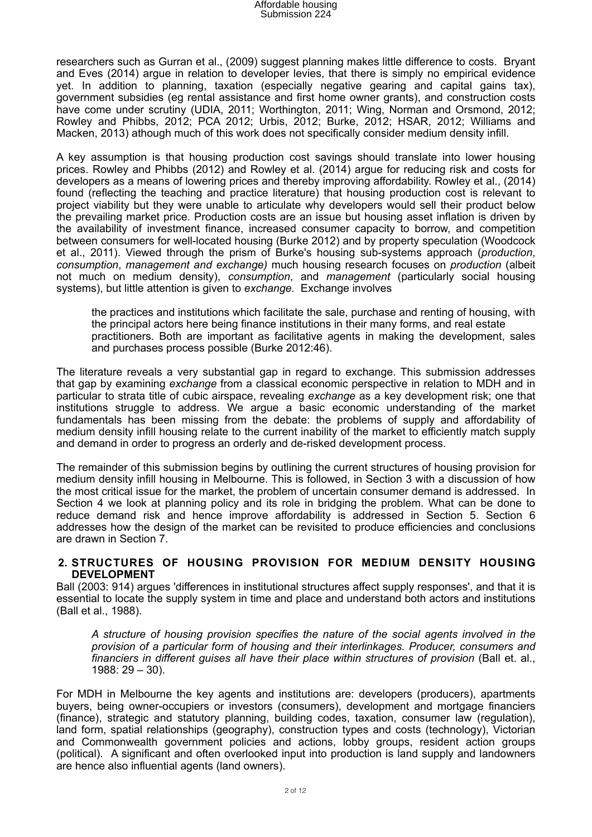researchers such as Gurran et al., (2009) suggest planning makes little difference to costs. Bryant and Eves (2014) argue in relation to developer levies, that there is simply no empirical evidence yet. In addition to planning, taxation (especially negative gearing and capital gains tax), government subsidies (eg rental assistance and first home owner grants), and construction costs have come under scrutiny (UDIA, 2011; Worthington, 2011; Wing, Norman and Orsmond, 2012; Rowley and Phibbs, 2012; PCA 2012; Urbis, 2012; Burke, 2012; HSAR, 2012; Williams and Macken, 2013) athough much of this work does not specifically consider medium density infill.

A key assumption is that housing production cost savings should translate into lower housing prices. Rowley and Phibbs (2012) and Rowley et al. (2014) argue for reducing risk and costs for developers as a means of lowering prices and thereby improving affordability. Rowley et al., (2014) found (reflecting the teaching and practice literature) that housing production cost is relevant to project viability but they were unable to articulate why developers would sell their product below the prevailing market price. Production costs are an issue but housing asset inflation is driven by the availability of investment finance, increased consumer capacity to borrow, and competition between consumers for well-located housing (Burke 2012) and by property speculation (Woodcock et al., 2011). Viewed through the prism of Burke's housing sub-systems approach (*production*, *consumption*, *management and exchange)* much housing research focuses on *production* (albeit not much on medium density), *consumption*, and *management* (particularly social housing systems), but little attention is given to *exchange.* Exchange involves

 the practices and institutions which facilitate the sale, purchase and renting of housing, with the principal actors here being finance institutions in their many forms, and real estate practitioners. Both are important as facilitative agents in making the development, sales and purchases process possible (Burke 2012:46).

The literature reveals a very substantial gap in regard to exchange. This submission addresses that gap by examining *exchange* from a classical economic perspective in relation to MDH and in particular to strata title of cubic airspace, revealing *exchange* as a key development risk; one that institutions struggle to address. We argue a basic economic understanding of the market fundamentals has been missing from the debate: the problems of supply and affordability of medium density infill housing relate to the current inability of the market to efficiently match supply and demand in order to progress an orderly and de-risked development process.

The remainder of this submission begins by outlining the current structures of housing provision for medium density infill housing in Melbourne. This is followed, in Section 3 with a discussion of how the most critical issue for the market, the problem of uncertain consumer demand is addressed. In Section 4 we look at planning policy and its role in bridging the problem. What can be done to reduce demand risk and hence improve affordability is addressed in Section 5. Section 6 addresses how the design of the market can be revisited to produce efficiencies and conclusions are drawn in Section 7.

#### **2. STRUCTURES OF HOUSING PROVISION FOR MEDIUM DENSITY HOUSING DEVELOPMENT**

Ball (2003: 914) argues 'differences in institutional structures affect supply responses', and that it is essential to locate the supply system in time and place and understand both actors and institutions (Ball et al., 1988).

 *A structure of housing provision specifies the nature of the social agents involved in the provision of a particular form of housing and their interlinkages. Producer, consumers and financiers in different quises all have their place within structures of provision (Ball et. al., filledgeeries* 1988: 29 – 30).

For MDH in Melbourne the key agents and institutions are: developers (producers), apartments buyers, being owner-occupiers or investors (consumers), development and mortgage financiers (finance), strategic and statutory planning, building codes, taxation, consumer law (regulation), land form, spatial relationships (geography), construction types and costs (technology), Victorian and Commonwealth government policies and actions, lobby groups, resident action groups (political). A significant and often overlooked input into production is land supply and landowners are hence also influential agents (land owners).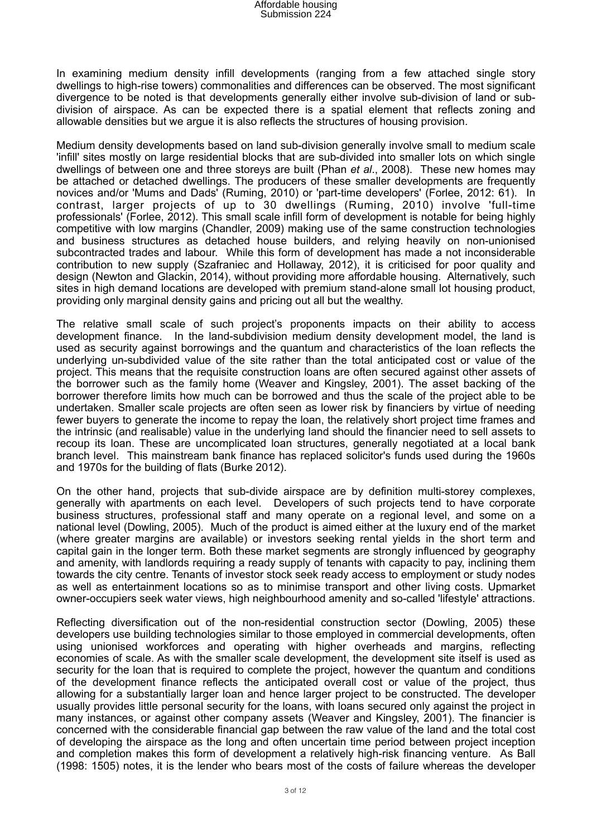In examining medium density infill developments (ranging from a few attached single story dwellings to high-rise towers) commonalities and differences can be observed. The most significant divergence to be noted is that developments generally either involve sub-division of land or subdivision of airspace. As can be expected there is a spatial element that reflects zoning and allowable densities but we argue it is also reflects the structures of housing provision.

Medium density developments based on land sub-division generally involve small to medium scale 'infill' sites mostly on large residential blocks that are sub-divided into smaller lots on which single dwellings of between one and three storeys are built (Phan *et al*., 2008). These new homes may be attached or detached dwellings. The producers of these smaller developments are frequently novices and/or 'Mums and Dads' (Ruming, 2010) or 'part-time developers' (Forlee, 2012: 61). In contrast, larger projects of up to 30 dwellings (Ruming, 2010) involve 'full-time professionals' (Forlee, 2012). This small scale infill form of development is notable for being highly competitive with low margins (Chandler, 2009) making use of the same construction technologies and business structures as detached house builders, and relying heavily on non-unionised subcontracted trades and labour. While this form of development has made a not inconsiderable contribution to new supply (Szafraniec and Hollaway, 2012), it is criticised for poor quality and design (Newton and Glackin, 2014), without providing more affordable housing. Alternatively, such sites in high demand locations are developed with premium stand-alone small lot housing product, providing only marginal density gains and pricing out all but the wealthy.

The relative small scale of such project's proponents impacts on their ability to access development finance. In the land-subdivision medium density development model, the land is used as security against borrowings and the quantum and characteristics of the loan reflects the underlying un-subdivided value of the site rather than the total anticipated cost or value of the project. This means that the requisite construction loans are often secured against other assets of the borrower such as the family home (Weaver and Kingsley, 2001). The asset backing of the borrower therefore limits how much can be borrowed and thus the scale of the project able to be undertaken. Smaller scale projects are often seen as lower risk by financiers by virtue of needing fewer buyers to generate the income to repay the loan, the relatively short project time frames and the intrinsic (and realisable) value in the underlying land should the financier need to sell assets to recoup its loan. These are uncomplicated loan structures, generally negotiated at a local bank branch level. This mainstream bank finance has replaced solicitor's funds used during the 1960s and 1970s for the building of flats (Burke 2012).

On the other hand, projects that sub-divide airspace are by definition multi-storey complexes, generally with apartments on each level. Developers of such projects tend to have corporate business structures, professional staff and many operate on a regional level, and some on a national level (Dowling, 2005). Much of the product is aimed either at the luxury end of the market (where greater margins are available) or investors seeking rental yields in the short term and capital gain in the longer term. Both these market segments are strongly influenced by geography and amenity, with landlords requiring a ready supply of tenants with capacity to pay, inclining them towards the city centre. Tenants of investor stock seek ready access to employment or study nodes as well as entertainment locations so as to minimise transport and other living costs. Upmarket owner-occupiers seek water views, high neighbourhood amenity and so-called 'lifestyle' attractions.

Reflecting diversification out of the non-residential construction sector (Dowling, 2005) these developers use building technologies similar to those employed in commercial developments, often using unionised workforces and operating with higher overheads and margins, reflecting economies of scale. As with the smaller scale development, the development site itself is used as security for the loan that is required to complete the project, however the quantum and conditions of the development finance reflects the anticipated overall cost or value of the project, thus allowing for a substantially larger loan and hence larger project to be constructed. The developer usually provides little personal security for the loans, with loans secured only against the project in many instances, or against other company assets (Weaver and Kingsley, 2001). The financier is concerned with the considerable financial gap between the raw value of the land and the total cost of developing the airspace as the long and often uncertain time period between project inception and completion makes this form of development a relatively high-risk financing venture. As Ball (1998: 1505) notes, it is the lender who bears most of the costs of failure whereas the developer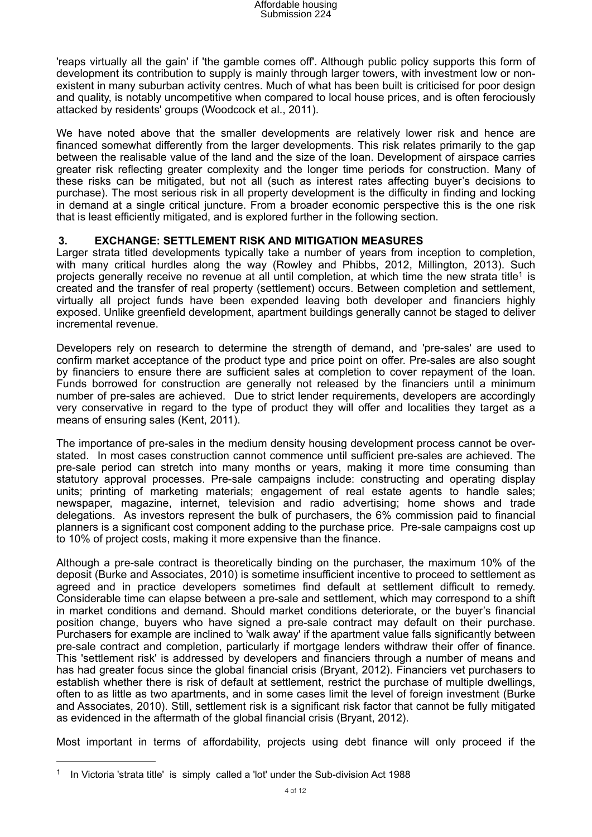'reaps virtually all the gain' if 'the gamble comes off'. Although public policy supports this form of development its contribution to supply is mainly through larger towers, with investment low or nonexistent in many suburban activity centres. Much of what has been built is criticised for poor design and quality, is notably uncompetitive when compared to local house prices, and is often ferociously attacked by residents' groups (Woodcock et al., 2011).

We have noted above that the smaller developments are relatively lower risk and hence are financed somewhat differently from the larger developments. This risk relates primarily to the gap between the realisable value of the land and the size of the loan. Development of airspace carries greater risk reflecting greater complexity and the longer time periods for construction. Many of these risks can be mitigated, but not all (such as interest rates affecting buyer's decisions to purchase). The most serious risk in all property development is the difficulty in finding and locking in demand at a single critical juncture. From a broader economic perspective this is the one risk that is least efficiently mitigated, and is explored further in the following section.

#### **3. EXCHANGE: SETTLEMENT RISK AND MITIGATION MEASURES**

Larger strata titled developments typically take a number of years from inception to completion, with many critical hurdles along the way (Rowley and Phibbs, 2012, Millington, 2013). Such projects generally receive no revenue at all until completion, at which time the new strata title<sup>1</sup> is created and the transfer of real property (settlement) occurs. Between completion and settlement, virtually all project funds have been expended leaving both developer and financiers highly exposed. Unlike greenfield development, apartment buildings generally cannot be staged to deliver incremental revenue.

Developers rely on research to determine the strength of demand, and 'pre-sales' are used to confirm market acceptance of the product type and price point on offer. Pre-sales are also sought by financiers to ensure there are sufficient sales at completion to cover repayment of the loan. Funds borrowed for construction are generally not released by the financiers until a minimum number of pre-sales are achieved. Due to strict lender requirements, developers are accordingly very conservative in regard to the type of product they will offer and localities they target as a means of ensuring sales (Kent, 2011).

The importance of pre-sales in the medium density housing development process cannot be overstated. In most cases construction cannot commence until sufficient pre-sales are achieved. The pre-sale period can stretch into many months or years, making it more time consuming than statutory approval processes. Pre-sale campaigns include: constructing and operating display units; printing of marketing materials; engagement of real estate agents to handle sales; newspaper, magazine, internet, television and radio advertising; home shows and trade delegations. As investors represent the bulk of purchasers, the 6% commission paid to financial planners is a significant cost component adding to the purchase price. Pre-sale campaigns cost up to 10% of project costs, making it more expensive than the finance.

Although a pre-sale contract is theoretically binding on the purchaser, the maximum 10% of the deposit (Burke and Associates, 2010) is sometime insufficient incentive to proceed to settlement as agreed and in practice developers sometimes find default at settlement difficult to remedy. Considerable time can elapse between a pre-sale and settlement, which may correspond to a shift in market conditions and demand. Should market conditions deteriorate, or the buyer's financial position change, buyers who have signed a pre-sale contract may default on their purchase. Purchasers for example are inclined to 'walk away' if the apartment value falls significantly between pre-sale contract and completion, particularly if mortgage lenders withdraw their offer of finance. This 'settlement risk' is addressed by developers and financiers through a number of means and has had greater focus since the global financial crisis (Bryant, 2012). Financiers vet purchasers to establish whether there is risk of default at settlement, restrict the purchase of multiple dwellings, often to as little as two apartments, and in some cases limit the level of foreign investment (Burke and Associates, 2010). Still, settlement risk is a significant risk factor that cannot be fully mitigated as evidenced in the aftermath of the global financial crisis (Bryant, 2012).

Most important in terms of affordability, projects using debt finance will only proceed if the

 $1$  In Victoria 'strata title' is simply called a 'lot' under the Sub-division Act 1988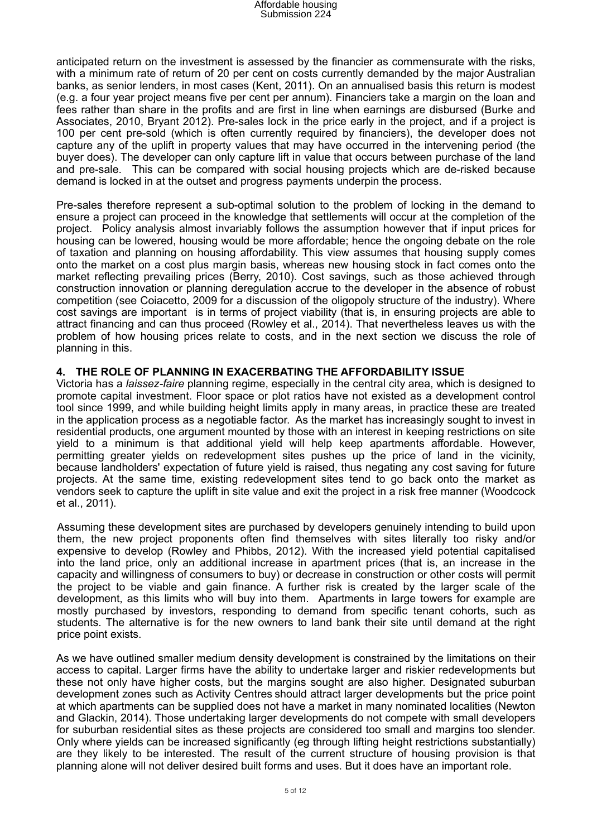anticipated return on the investment is assessed by the financier as commensurate with the risks, with a minimum rate of return of 20 per cent on costs currently demanded by the major Australian banks, as senior lenders, in most cases (Kent, 2011). On an annualised basis this return is modest (e.g. a four year project means five per cent per annum). Financiers take a margin on the loan and fees rather than share in the profits and are first in line when earnings are disbursed (Burke and Associates, 2010, Bryant 2012). Pre-sales lock in the price early in the project, and if a project is 100 per cent pre-sold (which is often currently required by financiers), the developer does not capture any of the uplift in property values that may have occurred in the intervening period (the buyer does). The developer can only capture lift in value that occurs between purchase of the land and pre-sale. This can be compared with social housing projects which are de-risked because demand is locked in at the outset and progress payments underpin the process.

Pre-sales therefore represent a sub-optimal solution to the problem of locking in the demand to ensure a project can proceed in the knowledge that settlements will occur at the completion of the project. Policy analysis almost invariably follows the assumption however that if input prices for housing can be lowered, housing would be more affordable; hence the ongoing debate on the role of taxation and planning on housing affordability. This view assumes that housing supply comes onto the market on a cost plus margin basis, whereas new housing stock in fact comes onto the market reflecting prevailing prices (Berry, 2010). Cost savings, such as those achieved through construction innovation or planning deregulation accrue to the developer in the absence of robust competition (see Coiacetto, 2009 for a discussion of the oligopoly structure of the industry). Where cost savings are important is in terms of project viability (that is, in ensuring projects are able to attract financing and can thus proceed (Rowley et al., 2014). That nevertheless leaves us with the problem of how housing prices relate to costs, and in the next section we discuss the role of planning in this.

#### **4. THE ROLE OF PLANNING IN EXACERBATING THE AFFORDABILITY ISSUE**

Victoria has a *laissez-faire* planning regime, especially in the central city area, which is designed to promote capital investment. Floor space or plot ratios have not existed as a development control tool since 1999, and while building height limits apply in many areas, in practice these are treated in the application process as a negotiable factor. As the market has increasingly sought to invest in residential products, one argument mounted by those with an interest in keeping restrictions on site yield to a minimum is that additional yield will help keep apartments affordable. However, permitting greater yields on redevelopment sites pushes up the price of land in the vicinity, because landholders' expectation of future yield is raised, thus negating any cost saving for future projects. At the same time, existing redevelopment sites tend to go back onto the market as vendors seek to capture the uplift in site value and exit the project in a risk free manner (Woodcock et al., 2011).

Assuming these development sites are purchased by developers genuinely intending to build upon them, the new project proponents often find themselves with sites literally too risky and/or expensive to develop (Rowley and Phibbs, 2012). With the increased yield potential capitalised into the land price, only an additional increase in apartment prices (that is, an increase in the capacity and willingness of consumers to buy) or decrease in construction or other costs will permit the project to be viable and gain finance. A further risk is created by the larger scale of the development, as this limits who will buy into them. Apartments in large towers for example are mostly purchased by investors, responding to demand from specific tenant cohorts, such as students. The alternative is for the new owners to land bank their site until demand at the right price point exists.

As we have outlined smaller medium density development is constrained by the limitations on their access to capital. Larger firms have the ability to undertake larger and riskier redevelopments but these not only have higher costs, but the margins sought are also higher. Designated suburban development zones such as Activity Centres should attract larger developments but the price point at which apartments can be supplied does not have a market in many nominated localities (Newton and Glackin, 2014). Those undertaking larger developments do not compete with small developers for suburban residential sites as these projects are considered too small and margins too slender. Only where yields can be increased significantly (eg through lifting height restrictions substantially) are they likely to be interested. The result of the current structure of housing provision is that planning alone will not deliver desired built forms and uses. But it does have an important role.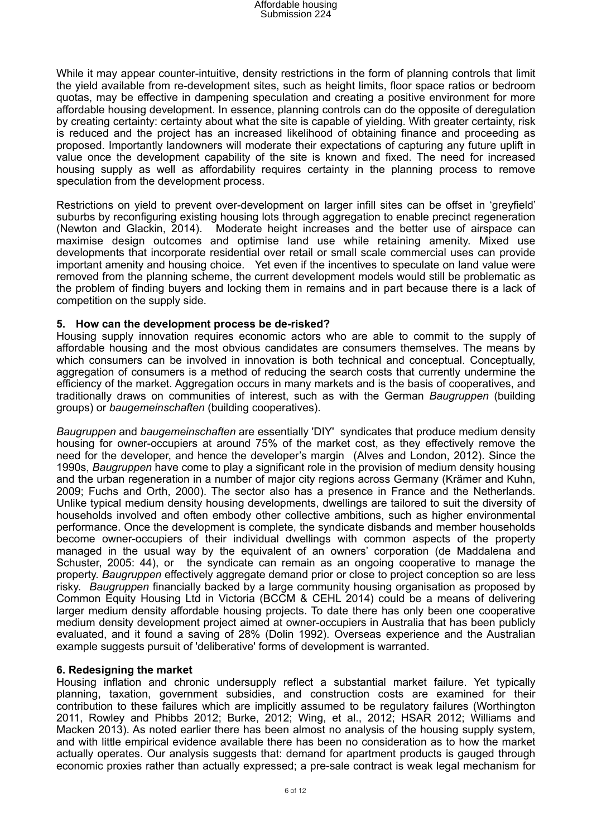While it may appear counter-intuitive, density restrictions in the form of planning controls that limit the yield available from re-development sites, such as height limits, floor space ratios or bedroom quotas, may be effective in dampening speculation and creating a positive environment for more affordable housing development. In essence, planning controls can do the opposite of deregulation by creating certainty: certainty about what the site is capable of yielding. With greater certainty, risk is reduced and the project has an increased likelihood of obtaining finance and proceeding as proposed. Importantly landowners will moderate their expectations of capturing any future uplift in value once the development capability of the site is known and fixed. The need for increased housing supply as well as affordability requires certainty in the planning process to remove speculation from the development process.

Restrictions on yield to prevent over-development on larger infill sites can be offset in 'greyfield' suburbs by reconfiguring existing housing lots through aggregation to enable precinct regeneration (Newton and Glackin, 2014). Moderate height increases and the better use of airspace can maximise design outcomes and optimise land use while retaining amenity. Mixed use developments that incorporate residential over retail or small scale commercial uses can provide important amenity and housing choice. Yet even if the incentives to speculate on land value were removed from the planning scheme, the current development models would still be problematic as the problem of finding buyers and locking them in remains and in part because there is a lack of competition on the supply side.

#### **5. How can the development process be de-risked?**

Housing supply innovation requires economic actors who are able to commit to the supply of affordable housing and the most obvious candidates are consumers themselves. The means by which consumers can be involved in innovation is both technical and conceptual. Conceptually, aggregation of consumers is a method of reducing the search costs that currently undermine the efficiency of the market. Aggregation occurs in many markets and is the basis of cooperatives, and traditionally draws on communities of interest, such as with the German *Baugruppen* (building groups) or *baugemeinschaften* (building cooperatives).

*Baugruppen* and *baugemeinschaften* are essentially 'DIY' syndicates that produce medium density housing for owner-occupiers at around 75% of the market cost, as they effectively remove the need for the developer, and hence the developer's margin (Alves and London, 2012). Since the 1990s, *Baugruppen* have come to play a significant role in the provision of medium density housing and the urban regeneration in a number of major city regions across Germany (Krämer and Kuhn, 2009; Fuchs and Orth, 2000). The sector also has a presence in France and the Netherlands. Unlike typical medium density housing developments, dwellings are tailored to suit the diversity of households involved and often embody other collective ambitions, such as higher environmental performance. Once the development is complete, the syndicate disbands and member households become owner-occupiers of their individual dwellings with common aspects of the property managed in the usual way by the equivalent of an owners' corporation (de Maddalena and Schuster, 2005: 44), or the syndicate can remain as an ongoing cooperative to manage the property. *Baugruppen* effectively aggregate demand prior or close to project conception so are less risky. *Baugruppen* financially backed by a large community housing organisation as proposed by Common Equity Housing Ltd in Victoria (BCCM & CEHL 2014) could be a means of delivering larger medium density affordable housing projects. To date there has only been one cooperative medium density development project aimed at owner-occupiers in Australia that has been publicly evaluated, and it found a saving of 28% (Dolin 1992). Overseas experience and the Australian example suggests pursuit of 'deliberative' forms of development is warranted.

#### **6. Redesigning the market**

Housing inflation and chronic undersupply reflect a substantial market failure. Yet typically planning, taxation, government subsidies, and construction costs are examined for their contribution to these failures which are implicitly assumed to be regulatory failures (Worthington 2011, Rowley and Phibbs 2012; Burke, 2012; Wing, et al., 2012; HSAR 2012; Williams and Macken 2013). As noted earlier there has been almost no analysis of the housing supply system, and with little empirical evidence available there has been no consideration as to how the market actually operates. Our analysis suggests that: demand for apartment products is gauged through economic proxies rather than actually expressed; a pre-sale contract is weak legal mechanism for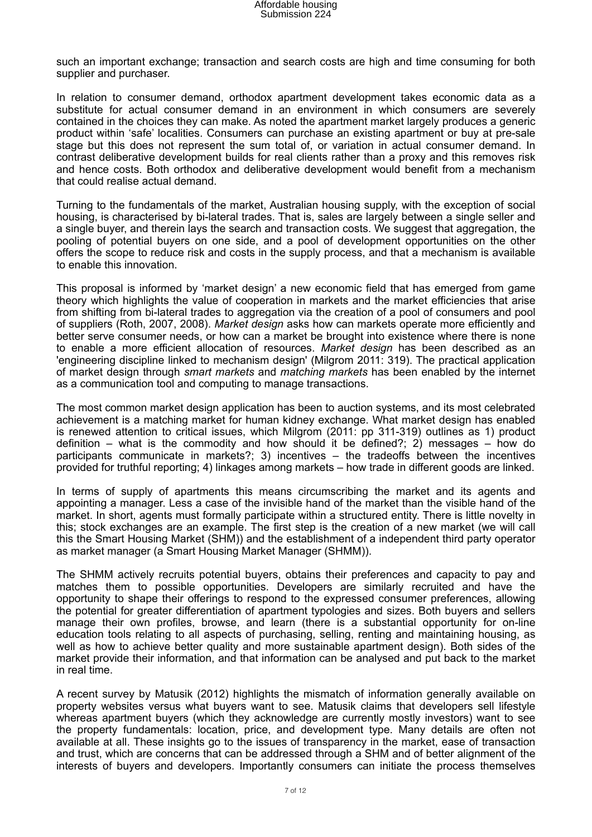such an important exchange; transaction and search costs are high and time consuming for both supplier and purchaser.

In relation to consumer demand, orthodox apartment development takes economic data as a substitute for actual consumer demand in an environment in which consumers are severely contained in the choices they can make. As noted the apartment market largely produces a generic product within 'safe' localities. Consumers can purchase an existing apartment or buy at pre-sale stage but this does not represent the sum total of, or variation in actual consumer demand. In contrast deliberative development builds for real clients rather than a proxy and this removes risk and hence costs. Both orthodox and deliberative development would benefit from a mechanism that could realise actual demand.

Turning to the fundamentals of the market, Australian housing supply, with the exception of social housing, is characterised by bi-lateral trades. That is, sales are largely between a single seller and a single buyer, and therein lays the search and transaction costs. We suggest that aggregation, the pooling of potential buyers on one side, and a pool of development opportunities on the other offers the scope to reduce risk and costs in the supply process, and that a mechanism is available to enable this innovation.

This proposal is informed by 'market design' a new economic field that has emerged from game theory which highlights the value of cooperation in markets and the market efficiencies that arise from shifting from bi-lateral trades to aggregation via the creation of a pool of consumers and pool of suppliers (Roth, 2007, 2008). *Market design* asks how can markets operate more efficiently and better serve consumer needs, or how can a market be brought into existence where there is none to enable a more efficient allocation of resources. *Market design* has been described as an 'engineering discipline linked to mechanism design' (Milgrom 2011: 319). The practical application of market design through *smart markets* and *matching markets* has been enabled by the internet as a communication tool and computing to manage transactions.

The most common market design application has been to auction systems, and its most celebrated achievement is a matching market for human kidney exchange. What market design has enabled is renewed attention to critical issues, which Milgrom (2011: pp 311-319) outlines as 1) product definition – what is the commodity and how should it be defined?; 2) messages – how do participants communicate in markets?; 3) incentives – the tradeoffs between the incentives provided for truthful reporting; 4) linkages among markets – how trade in different goods are linked.

In terms of supply of apartments this means circumscribing the market and its agents and appointing a manager. Less a case of the invisible hand of the market than the visible hand of the market. In short, agents must formally participate within a structured entity. There is little novelty in this; stock exchanges are an example. The first step is the creation of a new market (we will call this the Smart Housing Market (SHM)) and the establishment of a independent third party operator as market manager (a Smart Housing Market Manager (SHMM)).

The SHMM actively recruits potential buyers, obtains their preferences and capacity to pay and matches them to possible opportunities. Developers are similarly recruited and have the opportunity to shape their offerings to respond to the expressed consumer preferences, allowing the potential for greater differentiation of apartment typologies and sizes. Both buyers and sellers manage their own profiles, browse, and learn (there is a substantial opportunity for on-line education tools relating to all aspects of purchasing, selling, renting and maintaining housing, as well as how to achieve better quality and more sustainable apartment design). Both sides of the market provide their information, and that information can be analysed and put back to the market in real time.

A recent survey by Matusik (2012) highlights the mismatch of information generally available on property websites versus what buyers want to see. Matusik claims that developers sell lifestyle whereas apartment buyers (which they acknowledge are currently mostly investors) want to see the property fundamentals: location, price, and development type. Many details are often not available at all. These insights go to the issues of transparency in the market, ease of transaction and trust, which are concerns that can be addressed through a SHM and of better alignment of the interests of buyers and developers. Importantly consumers can initiate the process themselves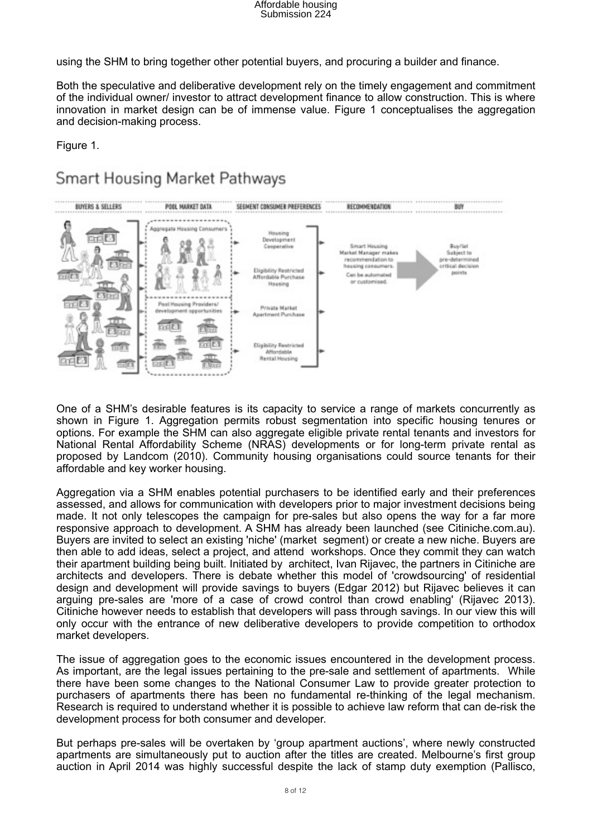using the SHM to bring together other potential buyers, and procuring a builder and finance.

Both the speculative and deliberative development rely on the timely engagement and commitment of the individual owner/ investor to attract development finance to allow construction. This is where innovation in market design can be of immense value. Figure 1 conceptualises the aggregation and decision-making process.

Figure 1.

# **Smart Housing Market Pathways**



One of a SHM's desirable features is its capacity to service a range of markets concurrently as shown in Figure 1. Aggregation permits robust segmentation into specific housing tenures or options. For example the SHM can also aggregate eligible private rental tenants and investors for National Rental Affordability Scheme (NRAS) developments or for long-term private rental as proposed by Landcom (2010). Community housing organisations could source tenants for their affordable and key worker housing.

Aggregation via a SHM enables potential purchasers to be identified early and their preferences assessed, and allows for communication with developers prior to major investment decisions being made. It not only telescopes the campaign for pre-sales but also opens the way for a far more responsive approach to development. A SHM has already been launched (see Citiniche.com.au). Buyers are invited to select an existing 'niche' (market segment) or create a new niche. Buyers are then able to add ideas, select a project, and attend workshops. Once they commit they can watch their apartment building being built. Initiated by architect, Ivan Rijavec, the partners in Citiniche are architects and developers. There is debate whether this model of 'crowdsourcing' of residential design and development will provide savings to buyers (Edgar 2012) but Rijavec believes it can arguing pre-sales are 'more of a case of crowd control than crowd enabling' (Rijavec 2013). Citiniche however needs to establish that developers will pass through savings. In our view this will only occur with the entrance of new deliberative developers to provide competition to orthodox market developers.

The issue of aggregation goes to the economic issues encountered in the development process. As important, are the legal issues pertaining to the pre-sale and settlement of apartments. While there have been some changes to the National Consumer Law to provide greater protection to purchasers of apartments there has been no fundamental re-thinking of the legal mechanism. Research is required to understand whether it is possible to achieve law reform that can de-risk the development process for both consumer and developer.

But perhaps pre-sales will be overtaken by 'group apartment auctions', where newly constructed apartments are simultaneously put to auction after the titles are created. Melbourne's first group auction in April 2014 was highly successful despite the lack of stamp duty exemption (Pallisco,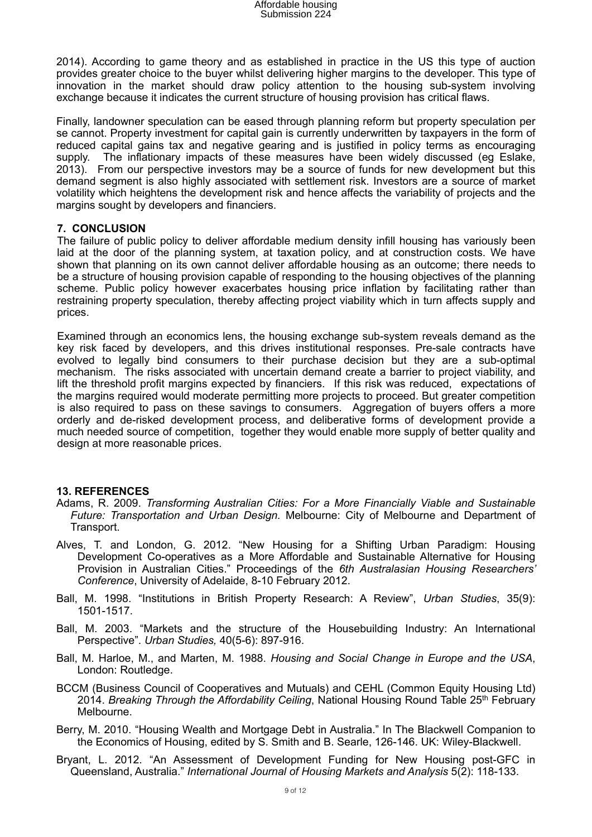2014). According to game theory and as established in practice in the US this type of auction provides greater choice to the buyer whilst delivering higher margins to the developer. This type of innovation in the market should draw policy attention to the housing sub-system involving exchange because it indicates the current structure of housing provision has critical flaws.

Finally, landowner speculation can be eased through planning reform but property speculation per se cannot. Property investment for capital gain is currently underwritten by taxpayers in the form of reduced capital gains tax and negative gearing and is justified in policy terms as encouraging supply. The inflationary impacts of these measures have been widely discussed (eg Eslake, 2013). From our perspective investors may be a source of funds for new development but this demand segment is also highly associated with settlement risk. Investors are a source of market volatility which heightens the development risk and hence affects the variability of projects and the margins sought by developers and financiers.

#### **7. CONCLUSION**

The failure of public policy to deliver affordable medium density infill housing has variously been laid at the door of the planning system, at taxation policy, and at construction costs. We have shown that planning on its own cannot deliver affordable housing as an outcome; there needs to be a structure of housing provision capable of responding to the housing objectives of the planning scheme. Public policy however exacerbates housing price inflation by facilitating rather than restraining property speculation, thereby affecting project viability which in turn affects supply and prices.

Examined through an economics lens, the housing exchange sub-system reveals demand as the key risk faced by developers, and this drives institutional responses. Pre-sale contracts have evolved to legally bind consumers to their purchase decision but they are a sub-optimal mechanism. The risks associated with uncertain demand create a barrier to project viability, and lift the threshold profit margins expected by financiers. If this risk was reduced, expectations of the margins required would moderate permitting more projects to proceed. But greater competition is also required to pass on these savings to consumers. Aggregation of buyers offers a more orderly and de-risked development process, and deliberative forms of development provide a much needed source of competition, together they would enable more supply of better quality and design at more reasonable prices.

#### **13. REFERENCES**

- Adams, R. 2009. *Transforming Australian Cities: For a More Financially Viable and Sustainable Future: Transportation and Urban Design.* Melbourne: City of Melbourne and Department of Transport.
- Alves, T. and London, G. 2012. "New Housing for a Shifting Urban Paradigm: Housing Development Co-operatives as a More Affordable and Sustainable Alternative for Housing Provision in Australian Cities." Proceedings of the *6th Australasian Housing Researchers' Conference*, University of Adelaide, 8-10 February 2012.
- Ball, M. 1998. "Institutions in British Property Research: A Review", *Urban Studies*, 35(9): 1501-1517.
- Ball, M. 2003. "Markets and the structure of the Housebuilding Industry: An International Perspective". *Urban Studies,* 40(5-6): 897-916.
- Ball, M. Harloe, M., and Marten, M. 1988. *Housing and Social Change in Europe and the USA*, London: Routledge.
- BCCM (Business Council of Cooperatives and Mutuals) and CEHL (Common Equity Housing Ltd) 2014. *Breaking Through the Affordability Ceiling*, National Housing Round Table 25th February Melbourne.
- Berry, M. 2010. "Housing Wealth and Mortgage Debt in Australia." In The Blackwell Companion to the Economics of Housing, edited by S. Smith and B. Searle, 126-146. UK: Wiley-Blackwell.
- Bryant, L. 2012. "An Assessment of Development Funding for New Housing post-GFC in Queensland, Australia." *International Journal of Housing Markets and Analysis* 5(2): 118-133.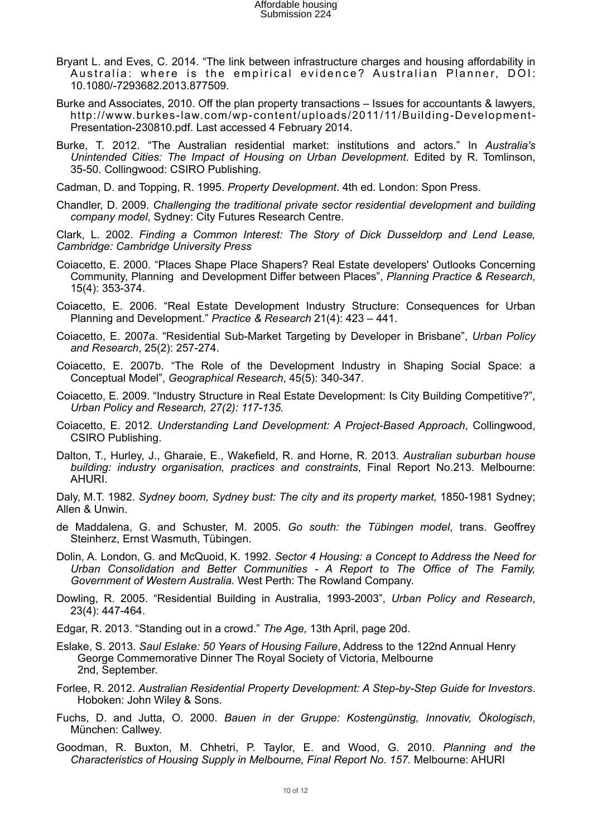- Bryant L. and Eves, C. 2014. "The link between infrastructure charges and housing affordability in Australia: where is the empirical evidence? Australian Planner, DOI: 10.1080/-7293682.2013.877509.
- Burke and Associates, 2010. Off the plan property transactions Issues for accountants & lawyers, http://www.burkes-law.com/wp-content/uploads/2011/11/Building-Development-Presentation-230810.pdf. Last accessed 4 February 2014.
- Burke, T. 2012. "The Australian residential market: institutions and actors." In *Australia's Unintended Cities: The Impact of Housing on Urban Development.* Edited by R. Tomlinson, 35-50. Collingwood: CSIRO Publishing.
- Cadman, D. and Topping, R. 1995. *Property Development*. 4th ed. London: Spon Press.
- Chandler, D. 2009. *Challenging the traditional private sector residential development and building company model*, Sydney: City Futures Research Centre.

Clark, L. 2002. *Finding a Common Interest: The Story of Dick Dusseldorp and Lend Lease, Cambridge: Cambridge University Press*

- Coiacetto, E. 2000. "Places Shape Place Shapers? Real Estate developers' Outlooks Concerning Community, Planning and Development Differ between Places", *Planning Practice & Research*, 15(4): 353-374.
- Coiacetto, E. 2006. "Real Estate Development Industry Structure: Consequences for Urban Planning and Development." *Practice & Research* 21(4): 423 – 441.
- Coiacetto, E. 2007a. "Residential Sub-Market Targeting by Developer in Brisbane", *Urban Policy and Research*, 25(2): 257-274.
- Coiacetto, E. 2007b. "The Role of the Development Industry in Shaping Social Space: a Conceptual Model", *Geographical Research*, 45(5): 340-347.
- Coiacetto, E. 2009. "Industry Structure in Real Estate Development: Is City Building Competitive?", *Urban Policy and Research, 27(2): 117-135.*
- Coiacetto, E. 2012. *Understanding Land Development: A Project-Based Approach*, Collingwood, CSIRO Publishing.
- Dalton, T., Hurley, J., Gharaie, E., Wakefield, R. and Horne, R. 2013. *Australian suburban house building: industry organisation, practices and constraints*, Final Report No.213. Melbourne: AHURI.

Daly, M.T. 1982. *Sydney boom, Sydney bust: The city and its property market,* 1850-1981 Sydney; Allen & Unwin.

- de Maddalena, G. and Schuster, M. 2005. *Go south: the Tübingen model*, trans. Geoffrey Steinherz, Ernst Wasmuth, Tübingen.
- Dolin, A. London, G. and McQuoid, K. 1992. *Sector 4 Housing: a Concept to Address the Need for Urban Consolidation and Better Communities - A Report to The Office of The Family, Government of Western Australia.* West Perth: The Rowland Company.
- Dowling, R. 2005. "Residential Building in Australia, 1993-2003", *Urban Policy and Research*, 23(4): 447-464.
- Edgar, R. 2013. "Standing out in a crowd." *The Age,* 13th April, page 20d.
- Eslake, S. 2013. *Saul Eslake: 50 Years of Housing Failure*, Address to the 122nd Annual Henry George Commemorative Dinner The Royal Society of Victoria, Melbourne 2nd, September.
- Forlee, R. 2012. *Australian Residential Property Development: A Step-by-Step Guide for Investors*. Hoboken: John Wiley & Sons.
- Fuchs, D. and Jutta, O. 2000. *Bauen in der Gruppe: Kostengünstig, Innovativ, Ökologisch*, München: Callwey.
- Goodman, R. Buxton, M. Chhetri, P. Taylor, E. and Wood, G. 2010. *Planning and the Characteristics of Housing Supply in Melbourne, Final Report No. 157.* Melbourne: AHURI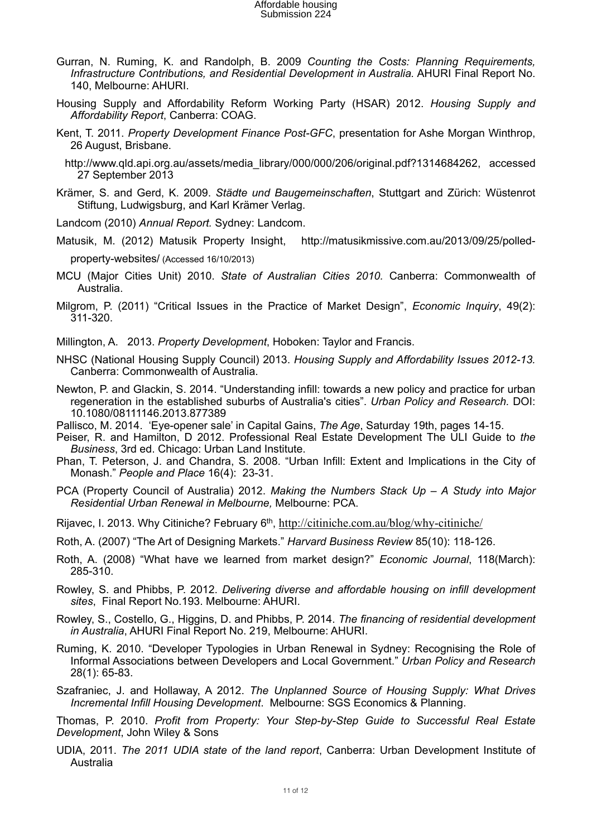- Gurran, N. Ruming, K. and Randolph, B. 2009 *Counting the Costs: Planning Requirements, Infrastructure Contributions, and Residential Development in Australia.* AHURI Final Report No. 140, Melbourne: AHURI.
- Housing Supply and Affordability Reform Working Party (HSAR) 2012. *Housing Supply and Affordability Report*, Canberra: COAG.
- Kent, T. 2011. *Property Development Finance Post-GFC*, presentation for Ashe Morgan Winthrop, 26 August, Brisbane.
	- http://www.qld.api.org.au/assets/media\_library/000/000/206/original.pdf?1314684262, accessed 27 September 2013
- Krämer, S. and Gerd, K. 2009. *Städte und Baugemeinschaften*, Stuttgart and Zürich: Wüstenrot Stiftung, Ludwigsburg, and Karl Krämer Verlag.
- Landcom (2010) *Annual Report.* Sydney: Landcom.
- Matusik, M. (2012) Matusik Property Insight, http://matusikmissive.com.au/2013/09/25/polled-

property-websites/ (Accessed 16/10/2013)

- MCU (Major Cities Unit) 2010. *State of Australian Cities 2010.* Canberra: Commonwealth of Australia.
- Milgrom, P. (2011) "Critical Issues in the Practice of Market Design", *Economic Inquiry*, 49(2): 311-320.
- Millington, A. 2013. *Property Development*, Hoboken: Taylor and Francis.
- NHSC (National Housing Supply Council) 2013. *Housing Supply and Affordability Issues 2012-13.*  Canberra: Commonwealth of Australia.
- Newton, P. and Glackin, S. 2014. "Understanding infill: towards a new policy and practice for urban regeneration in the established suburbs of Australia's cities". *Urban Policy and Research.* DOI: 10.1080/08111146.2013.877389
- Pallisco, M. 2014. 'Eye-opener sale' in Capital Gains, *The Age*, Saturday 19th, pages 14-15.
- Peiser, R. and Hamilton, D 2012. Professional Real Estate Development The ULI Guide to *the Business*, 3rd ed. Chicago: Urban Land Institute.
- Phan, T. Peterson, J. and Chandra, S. 2008. "Urban Infill: Extent and Implications in the City of Monash." *People and Place* 16(4): 23-31.
- PCA (Property Council of Australia) 2012. *Making the Numbers Stack Up A Study into Major Residential Urban Renewal in Melbourne,* Melbourne: PCA.
- Rijavec, I. 2013. Why Citiniche? February 6<sup>th</sup>, http://citiniche.com.au/blog/why-citiniche/
- Roth, A. (2007) "The Art of Designing Markets." *Harvard Business Review* 85(10): 118-126.
- Roth, A. (2008) "What have we learned from market design?" *Economic Journal*, 118(March): 285-310.
- Rowley, S. and Phibbs, P. 2012. *Delivering diverse and affordable housing on infill development sites*, Final Report No.193. Melbourne: AHURI.
- Rowley, S., Costello, G., Higgins, D. and Phibbs, P. 2014. *The financing of residential development in Australia*, AHURI Final Report No. 219, Melbourne: AHURI.
- Ruming, K. 2010. "Developer Typologies in Urban Renewal in Sydney: Recognising the Role of Informal Associations between Developers and Local Government." *Urban Policy and Research* 28(1): 65-83.
- Szafraniec, J. and Hollaway, A 2012. *The Unplanned Source of Housing Supply: What Drives Incremental Infill Housing Development*. Melbourne: SGS Economics & Planning.

Thomas, P. 2010. *Profit from Property: Your Step-by-Step Guide to Successful Real Estate Development*, John Wiley & Sons

UDIA, 2011. *The 2011 UDIA state of the land report*, Canberra: Urban Development Institute of Australia